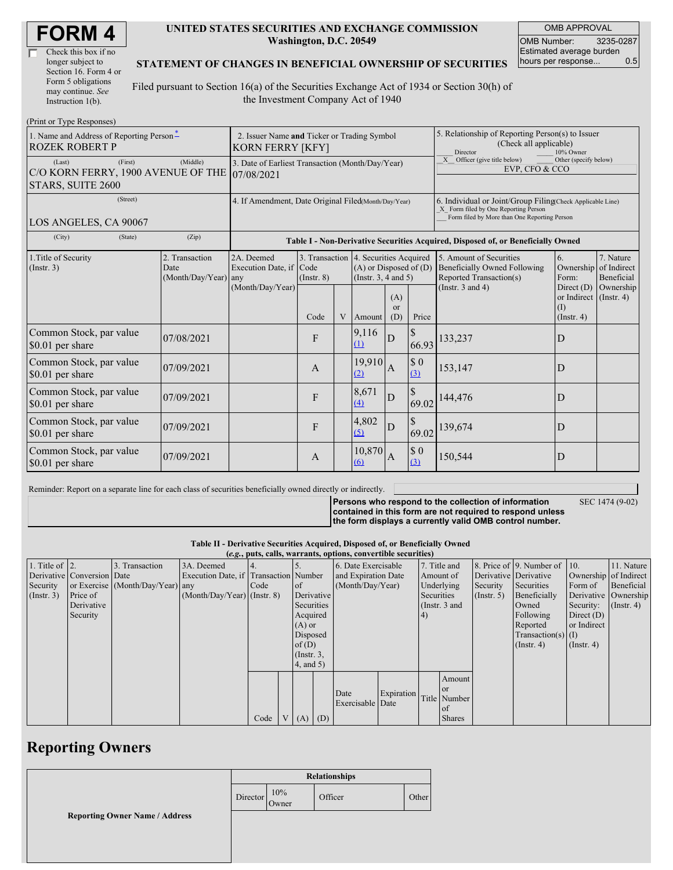| <b>FORM4</b> |  |
|--------------|--|
|--------------|--|

| Check this box if no  |  |
|-----------------------|--|
| longer subject to     |  |
| Section 16. Form 4 or |  |
| Form 5 obligations    |  |
| may continue. See     |  |
| Instruction $1(b)$ .  |  |

#### **UNITED STATES SECURITIES AND EXCHANGE COMMISSION Washington, D.C. 20549**

OMB APPROVAL OMB Number: 3235-0287 Estimated average burden hours per response... 0.5

#### **STATEMENT OF CHANGES IN BENEFICIAL OWNERSHIP OF SECURITIES**

Filed pursuant to Section 16(a) of the Securities Exchange Act of 1934 or Section 30(h) of the Investment Company Act of 1940

| (Print or Type Responses)                                                    |                                                                                                                                                                                                                 |                  |              |                                                                                                                                                                 |                   |                             |                                                                                                                                                    |                       |                                                        |                               |
|------------------------------------------------------------------------------|-----------------------------------------------------------------------------------------------------------------------------------------------------------------------------------------------------------------|------------------|--------------|-----------------------------------------------------------------------------------------------------------------------------------------------------------------|-------------------|-----------------------------|----------------------------------------------------------------------------------------------------------------------------------------------------|-----------------------|--------------------------------------------------------|-------------------------------|
| 1. Name and Address of Reporting Person-<br><b>ROZEK ROBERT P</b>            | 2. Issuer Name and Ticker or Trading Symbol<br><b>KORN FERRY [KFY]</b>                                                                                                                                          |                  |              |                                                                                                                                                                 |                   |                             | 5. Relationship of Reporting Person(s) to Issuer<br>(Check all applicable)<br>Director<br>10% Owner                                                |                       |                                                        |                               |
| (First)<br>(Last)<br>C/O KORN FERRY, 1900 AVENUE OF THE<br>STARS, SUITE 2600 | 3. Date of Earliest Transaction (Month/Day/Year)<br>07/08/2021                                                                                                                                                  |                  |              |                                                                                                                                                                 |                   |                             | X Officer (give title below)<br>Other (specify below)<br>EVP, CFO & CCO                                                                            |                       |                                                        |                               |
| (Street)<br>LOS ANGELES, CA 90067                                            | 4. If Amendment, Date Original Filed(Month/Day/Year)                                                                                                                                                            |                  |              |                                                                                                                                                                 |                   |                             | 6. Individual or Joint/Group Filing(Check Applicable Line)<br>X Form filed by One Reporting Person<br>Form filed by More than One Reporting Person |                       |                                                        |                               |
| (City)<br>(State)                                                            | Table I - Non-Derivative Securities Acquired, Disposed of, or Beneficially Owned                                                                                                                                |                  |              |                                                                                                                                                                 |                   |                             |                                                                                                                                                    |                       |                                                        |                               |
| 1. Title of Security<br>(Insert. 3)                                          | 2. Transaction<br>2A. Deemed<br>3. Transaction 4. Securities Acquired<br>Execution Date, if Code<br>$(A)$ or Disposed of $(D)$<br>Date<br>$(Month/Day/Year)$ any<br>(Instr. $3, 4$ and $5$ )<br>$($ Instr. $8)$ |                  |              | 7. Nature<br>5. Amount of Securities<br>6.<br><b>Beneficially Owned Following</b><br>Ownership<br>of Indirect<br>Reported Transaction(s)<br>Form:<br>Beneficial |                   |                             |                                                                                                                                                    |                       |                                                        |                               |
|                                                                              |                                                                                                                                                                                                                 | (Month/Day/Year) | Code         | V                                                                                                                                                               | Amount            | (A)<br><sub>or</sub><br>(D) | Price                                                                                                                                              | (Instr. $3$ and $4$ ) | Direct $(D)$<br>or Indirect<br>(I)<br>$($ Instr. 4 $)$ | Ownership<br>$($ Instr. 4 $)$ |
| Common Stock, par value<br>\$0.01 per share                                  | 07/08/2021                                                                                                                                                                                                      |                  | F            |                                                                                                                                                                 | 9,116<br>(1)      | D                           | $\mathcal{S}$<br>66.93                                                                                                                             | 133,237               | D                                                      |                               |
| Common Stock, par value<br>\$0.01 per share                                  | 07/09/2021                                                                                                                                                                                                      |                  | A            |                                                                                                                                                                 | 19.910<br>(2)     | $\overline{A}$              | $\$$ 0<br>(3)                                                                                                                                      | 153,147               | D                                                      |                               |
| Common Stock, par value<br>\$0.01 per share                                  | 07/09/2021                                                                                                                                                                                                      |                  | F            |                                                                                                                                                                 | 8,671<br>$\Delta$ | D                           | $\$$<br>69.02                                                                                                                                      | 144,476               | D                                                      |                               |
| Common Stock, par value<br>\$0.01 per share                                  | 07/09/2021                                                                                                                                                                                                      |                  | F            |                                                                                                                                                                 | 4,802<br>(5)      | D                           | \$<br>69.02                                                                                                                                        | 139,674               | D                                                      |                               |
| Common Stock, par value<br>\$0.01 per share                                  | 07/09/2021                                                                                                                                                                                                      |                  | $\mathbf{A}$ |                                                                                                                                                                 | 10,870<br>(6)     | A                           | $\$$ 0<br>(3)                                                                                                                                      | 150,544               | D                                                      |                               |

Reminder: Report on a separate line for each class of securities beneficially owned directly or indirectly.

**Persons who respond to the collection of information contained in this form are not required to respond unless the form displays a currently valid OMB control number.** SEC 1474 (9-02)

**Table II - Derivative Securities Acquired, Disposed of, or Beneficially Owned (***e.g.***, puts, calls, warrants, options, convertible securities)**

|                        | (e.g., puts, cans, warrants, options, convertible securities) |                                  |                                       |      |  |                  |  |                     |            |           |               |                       |                              |                       |               |                      |  |
|------------------------|---------------------------------------------------------------|----------------------------------|---------------------------------------|------|--|------------------|--|---------------------|------------|-----------|---------------|-----------------------|------------------------------|-----------------------|---------------|----------------------|--|
| 1. Title of $\vert$ 2. |                                                               | 3. Transaction                   | 3A. Deemed                            |      |  |                  |  | 6. Date Exercisable |            |           | 7. Title and  |                       | 8. Price of 9. Number of 10. |                       | 11. Nature    |                      |  |
|                        | Derivative Conversion Date                                    |                                  | Execution Date, if Transaction Number |      |  |                  |  | and Expiration Date |            | Amount of |               | Derivative Derivative |                              | Ownership of Indirect |               |                      |  |
| Security               |                                                               | or Exercise (Month/Day/Year) any |                                       | Code |  | <sub>of</sub>    |  | (Month/Day/Year)    |            |           | Underlying    | Security              | Securities                   | Form of               | Beneficial    |                      |  |
| (Insert. 3)            | Price of                                                      |                                  | $(Month/Day/Year)$ (Instr. 8)         |      |  | Derivative       |  |                     |            |           |               | Securities            |                              | $($ Instr. 5)         | Beneficially  | Derivative Ownership |  |
|                        | Derivative                                                    |                                  |                                       |      |  | Securities       |  |                     |            |           | (Instr. 3 and |                       | Owned                        | Security:             | $($ Instr. 4) |                      |  |
|                        | Security                                                      |                                  |                                       |      |  | Acquired         |  |                     |            | (4)       |               |                       | Following                    | Direct $(D)$          |               |                      |  |
|                        |                                                               |                                  |                                       |      |  | $(A)$ or         |  |                     |            |           |               |                       | Reported                     | or Indirect           |               |                      |  |
|                        |                                                               |                                  |                                       |      |  | Disposed         |  |                     |            |           |               |                       | $Transaction(s)$ (I)         |                       |               |                      |  |
|                        |                                                               |                                  |                                       |      |  | of(D)            |  |                     |            |           |               |                       | $($ Instr. 4 $)$             | $($ Instr. 4 $)$      |               |                      |  |
|                        |                                                               |                                  |                                       |      |  | $($ Instr. $3$ , |  |                     |            |           |               |                       |                              |                       |               |                      |  |
|                        |                                                               |                                  |                                       |      |  | 4, and 5)        |  |                     |            |           |               |                       |                              |                       |               |                      |  |
|                        |                                                               |                                  |                                       |      |  |                  |  |                     |            |           | Amount        |                       |                              |                       |               |                      |  |
|                        |                                                               |                                  |                                       |      |  |                  |  |                     |            |           | <b>or</b>     |                       |                              |                       |               |                      |  |
|                        |                                                               |                                  |                                       |      |  |                  |  | Date                | Expiration |           | Title Number  |                       |                              |                       |               |                      |  |
|                        |                                                               |                                  |                                       |      |  |                  |  | Exercisable Date    |            |           | of            |                       |                              |                       |               |                      |  |
|                        |                                                               |                                  |                                       | Code |  | $V(A)$ (D)       |  |                     |            |           | <b>Shares</b> |                       |                              |                       |               |                      |  |

## **Reporting Owners**

|                                       | <b>Relationships</b> |              |         |       |  |
|---------------------------------------|----------------------|--------------|---------|-------|--|
|                                       | Director             | 10%<br>Owner | Officer | Other |  |
| <b>Reporting Owner Name / Address</b> |                      |              |         |       |  |